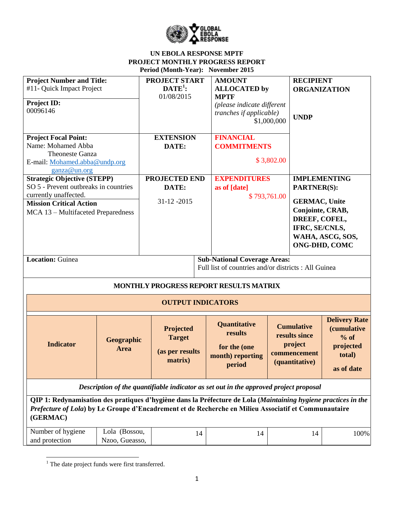

| <b>Project Number and Title:</b>                                                                               |                | <b>PROJECT START</b>     |    | <b>AMOUNT</b>                                                                         |              | <b>RECIPIENT</b>     |                      |
|----------------------------------------------------------------------------------------------------------------|----------------|--------------------------|----|---------------------------------------------------------------------------------------|--------------|----------------------|----------------------|
| #11- Quick Impact Project                                                                                      |                | $\mathbf{DATE}^1$ :      |    | <b>ALLOCATED</b> by                                                                   |              | <b>ORGANIZATION</b>  |                      |
|                                                                                                                |                | 01/08/2015               |    | <b>MPTF</b>                                                                           |              |                      |                      |
| Project ID:<br>00096146                                                                                        |                |                          |    | (please indicate different                                                            |              |                      |                      |
|                                                                                                                |                |                          |    | <i>tranches if applicable)</i>                                                        |              | <b>UNDP</b>          |                      |
|                                                                                                                |                |                          |    |                                                                                       | \$1,000,000  |                      |                      |
| <b>Project Focal Point:</b>                                                                                    |                | <b>EXTENSION</b>         |    | <b>FINANCIAL</b>                                                                      |              |                      |                      |
| Name: Mohamed Abba                                                                                             |                | DATE:                    |    | <b>COMMITMENTS</b>                                                                    |              |                      |                      |
| <b>Theoneste Ganza</b>                                                                                         |                |                          |    |                                                                                       |              |                      |                      |
| E-mail: Mohamed.abba@undp.org                                                                                  |                |                          |    |                                                                                       | \$3,802.00   |                      |                      |
| ganza@un.org                                                                                                   |                |                          |    |                                                                                       |              |                      |                      |
| <b>Strategic Objective (STEPP)</b>                                                                             |                | PROJECTED END            |    | <b>EXPENDITURES</b>                                                                   |              |                      | <b>IMPLEMENTING</b>  |
| SO 5 - Prevent outbreaks in countries                                                                          |                | DATE:                    |    | as of [date]                                                                          |              | <b>PARTNER(S):</b>   |                      |
| currently unaffected.                                                                                          |                |                          |    |                                                                                       | \$793,761.00 |                      |                      |
| <b>Mission Critical Action</b>                                                                                 |                | 31-12-2015               |    |                                                                                       |              | <b>GERMAC, Unite</b> |                      |
| MCA 13 - Multifaceted Preparedness                                                                             |                |                          |    |                                                                                       |              | Conjointe, CRAB,     |                      |
|                                                                                                                |                |                          |    |                                                                                       |              | DREEF, COFEL,        |                      |
|                                                                                                                |                |                          |    |                                                                                       |              | IFRC, SE/CNLS,       |                      |
|                                                                                                                |                |                          |    |                                                                                       |              |                      | WAHA, ASCG, SOS,     |
|                                                                                                                |                |                          |    |                                                                                       |              |                      | <b>ONG-DHD, COMC</b> |
| <b>Location: Guinea</b>                                                                                        |                |                          |    | <b>Sub-National Coverage Areas:</b>                                                   |              |                      |                      |
|                                                                                                                |                |                          |    | Full list of countries and/or districts : All Guinea                                  |              |                      |                      |
|                                                                                                                |                |                          |    |                                                                                       |              |                      |                      |
|                                                                                                                |                |                          |    | MONTHLY PROGRESS REPORT RESULTS MATRIX                                                |              |                      |                      |
|                                                                                                                |                | <b>OUTPUT INDICATORS</b> |    |                                                                                       |              |                      |                      |
|                                                                                                                |                |                          |    |                                                                                       |              |                      | <b>Delivery Rate</b> |
|                                                                                                                |                | Projected                |    | <b>Quantitative</b>                                                                   |              | <b>Cumulative</b>    | <i>(cumulative)</i>  |
|                                                                                                                |                | <b>Target</b>            |    | results                                                                               |              | results since        | $%$ of               |
| <b>Indicator</b>                                                                                               | Geographic     |                          |    |                                                                                       |              | project              | projected            |
|                                                                                                                | <b>Area</b>    | (as per results          |    | for the (one                                                                          |              | commencement         | total)               |
|                                                                                                                |                | matrix)                  |    | month) reporting                                                                      |              | (quantitative)       |                      |
|                                                                                                                |                |                          |    | period                                                                                |              |                      | as of date           |
|                                                                                                                |                |                          |    |                                                                                       |              |                      |                      |
|                                                                                                                |                |                          |    | Description of the quantifiable indicator as set out in the approved project proposal |              |                      |                      |
| QIP 1: Redynamisation des pratiques d'hygiène dans la Préfecture de Lola (Maintaining hygiene practices in the |                |                          |    |                                                                                       |              |                      |                      |
| Prefecture of Lola) by Le Groupe d'Encadrement et de Recherche en Milieu Associatif et Communautaire           |                |                          |    |                                                                                       |              |                      |                      |
| (GERMAC)                                                                                                       |                |                          |    |                                                                                       |              |                      |                      |
|                                                                                                                |                |                          |    |                                                                                       |              |                      |                      |
| Number of hygiene                                                                                              | Lola (Bossou,  |                          | 14 | 14                                                                                    |              | 14                   | 100%                 |
| and protection                                                                                                 | Nzoo, Gueasso, |                          |    |                                                                                       |              |                      |                      |

 $\overline{\phantom{a}}$  $<sup>1</sup>$  The date project funds were first transferred.</sup>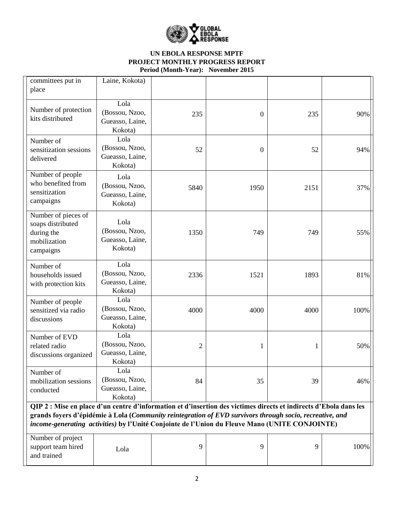

| committees put in<br>place                                                                                                                                                                                                                                                                                                      | Laine, Kokota)                                       |                |                  |      |      |
|---------------------------------------------------------------------------------------------------------------------------------------------------------------------------------------------------------------------------------------------------------------------------------------------------------------------------------|------------------------------------------------------|----------------|------------------|------|------|
| Number of protection<br>kits distributed                                                                                                                                                                                                                                                                                        | Lola<br>(Bossou, Nzoo,<br>Gueasso, Laine,<br>Kokota) | 235            | $\boldsymbol{0}$ | 235  | 90%  |
| Number of<br>sensitization sessions<br>delivered                                                                                                                                                                                                                                                                                | Lola<br>(Bossou, Nzoo,<br>Gueasso, Laine,<br>Kokota) | 52             | $\overline{0}$   | 52   | 94%  |
| Number of people<br>who benefited from<br>sensitization<br>campaigns                                                                                                                                                                                                                                                            | Lola<br>(Bossou, Nzoo,<br>Gueasso, Laine,<br>Kokota) | 5840           | 1950             | 2151 | 37%  |
| Number of pieces of<br>soaps distributed<br>during the<br>mobilization<br>campaigns                                                                                                                                                                                                                                             | Lola<br>(Bossou, Nzoo,<br>Gueasso, Laine,<br>Kokota) | 1350           | 749              | 749  | 55%  |
| Number of<br>households issued<br>with protection kits                                                                                                                                                                                                                                                                          | Lola<br>(Bossou, Nzoo,<br>Gueasso, Laine,<br>Kokota) | 2336           | 1521             | 1893 | 81%  |
| Number of people<br>sensitized via radio<br>discussions                                                                                                                                                                                                                                                                         | Lola<br>(Bossou, Nzoo,<br>Gueasso, Laine,<br>Kokota) | 4000           | 4000             | 4000 | 100% |
| Number of EVD<br>related radio<br>discussions organized                                                                                                                                                                                                                                                                         | Lola<br>(Bossou, Nzoo,<br>Gueasso, Laine,<br>Kokota) | $\overline{2}$ | 1                | 1    | 50%  |
| Number of<br>mobilization sessions<br>conducted                                                                                                                                                                                                                                                                                 | Lola<br>(Bossou, Nzoo,<br>Gueasso, Laine,<br>Kokota) | 84             | 35               | 39   | 46%  |
| QIP 2 : Mise en place d'un centre d'information et d'insertion des victimes directs et indirects d'Ebola dans les<br>grands foyers d'épidémie à Lola (Community reintegration of EVD survivors through socio, recreative, and<br>income-generating activities) by l'Unité Conjointe de l'Union du Fleuve Mano (UNITE CONJOINTE) |                                                      |                |                  |      |      |
| Number of project<br>support team hired<br>and trained                                                                                                                                                                                                                                                                          | Lola                                                 | 9              | 9                | 9    | 100% |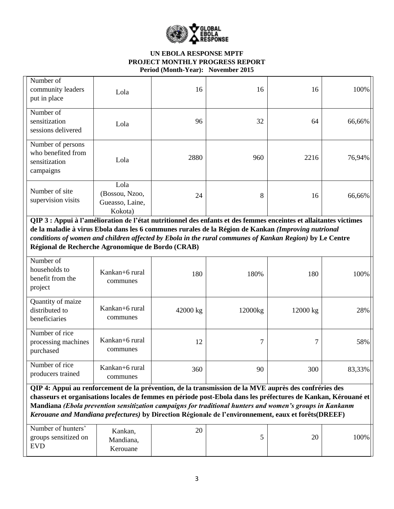

| Number of<br>community leaders<br>put in place                        | Lola                                                 | 16   | 16  | 16   | 100%   |
|-----------------------------------------------------------------------|------------------------------------------------------|------|-----|------|--------|
| Number of<br>sensitization<br>sessions delivered                      | Lola                                                 | 96   | 32  | 64   | 66,66% |
| Number of persons<br>who benefited from<br>sensitization<br>campaigns | Lola                                                 | 2880 | 960 | 2216 | 76,94% |
| Number of site<br>supervision visits                                  | Lola<br>(Bossou, Nzoo,<br>Gueasso, Laine,<br>Kokota) | 24   | 8   | 16   | 66,66% |

**QIP 3 : Appui à l'amélioration de l'état nutritionnel des enfants et des femmes enceintes et allaitantes victimes de la maladie à virus Ebola dans les 6 communes rurales de la Région de Kankan** *(Improving nutrional conditions of women and children affected by Ebola in the rural communes of Kankan Region)* **by Le Centre Régional de Recherche Agronomique de Bordo (CRAB)**

| Number of<br>households to<br>benefit from the<br>project | Kankan+6 rural<br>communes | 180      | 180%    | 180      | 100%   |
|-----------------------------------------------------------|----------------------------|----------|---------|----------|--------|
| Quantity of maize<br>distributed to<br>beneficiaries      | Kankan+6 rural<br>communes | 42000 kg | 12000kg | 12000 kg | 28%    |
| Number of rice<br>processing machines<br>purchased        | Kankan+6 rural<br>communes | 12       | 7       | ⇁        | 58%    |
| Number of rice<br>producers trained                       | Kankan+6 rural<br>communes | 360      | 90      | 300      | 83,33% |

**QIP 4: Appui au renforcement de la prévention, de la transmission de la MVE auprès des confréries des chasseurs et organisations locales de femmes en période post-Ebola dans les préfectures de Kankan, Kérouané et Mandiana** *(Ebola prevention sensitization campaigns for traditional hunters and women's groups in Kankanm Kerouane and Mandiana prefectures)* **by Direction Régionale de l'environnement, eaux et forêts(DREEF)**

| Number of hunters'<br>groups sensitized on<br><b>EVD</b> | Kankan,<br>Mandiana,<br>Kerouane | 20 |  | 20 | 100% |
|----------------------------------------------------------|----------------------------------|----|--|----|------|
|----------------------------------------------------------|----------------------------------|----|--|----|------|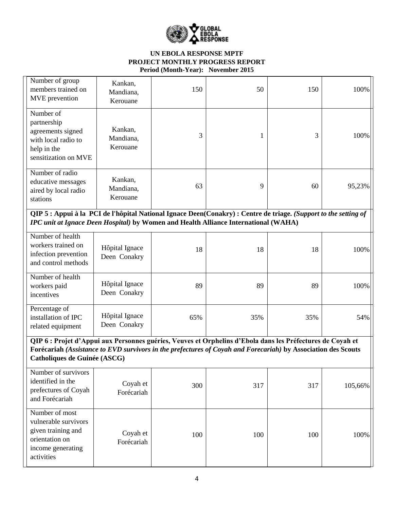

| Number of group<br>members trained on<br>MVE prevention                                                                                                                                                                                                     | Kankan,<br>Mandiana,<br>Kerouane | 150 | 50  | 150 | 100%    |  |  |
|-------------------------------------------------------------------------------------------------------------------------------------------------------------------------------------------------------------------------------------------------------------|----------------------------------|-----|-----|-----|---------|--|--|
| Number of<br>partnership<br>agreements signed<br>with local radio to<br>help in the<br>sensitization on MVE                                                                                                                                                 | Kankan,<br>Mandiana,<br>Kerouane | 3   | 1   | 3   | 100%    |  |  |
| Number of radio<br>educative messages<br>aired by local radio<br>stations                                                                                                                                                                                   | Kankan,<br>Mandiana,<br>Kerouane | 63  | 9   | 60  | 95,23%  |  |  |
| QIP 5 : Appui à la PCI de l'hôpital National Ignace Deen(Conakry) : Centre de triage. (Support to the setting of<br>IPC unit at Ignace Deen Hospital) by Women and Health Alliance International (WAHA)                                                     |                                  |     |     |     |         |  |  |
| Number of health<br>workers trained on<br>infection prevention<br>and control methods                                                                                                                                                                       | Hôpital Ignace<br>Deen Conakry   | 18  | 18  | 18  | 100%    |  |  |
| Number of health<br>workers paid<br>incentives                                                                                                                                                                                                              | Hôpital Ignace<br>Deen Conakry   | 89  | 89  | 89  | 100%    |  |  |
| Percentage of<br>installation of IPC<br>related equipment                                                                                                                                                                                                   | Hôpital Ignace<br>Deen Conakry   | 65% | 35% | 35% | 54%     |  |  |
| QIP 6 : Projet d'Appui aux Personnes guéries, Veuves et Orphelins d'Ebola dans les Préfectures de Coyah et<br>Forécariah (Assistance to EVD survivors in the prefectures of Coyah and Forecariah) by Association des Scouts<br>Catholiques de Guinée (ASCG) |                                  |     |     |     |         |  |  |
| Number of survivors<br>identified in the<br>prefectures of Coyah<br>and Forécariah                                                                                                                                                                          | Coyah et<br>Forécariah           | 300 | 317 | 317 | 105,66% |  |  |
| Number of most<br>vulnerable survivors<br>given training and<br>orientation on<br>income generating<br>activities                                                                                                                                           | Coyah et<br>Forécariah           | 100 | 100 | 100 | 100%    |  |  |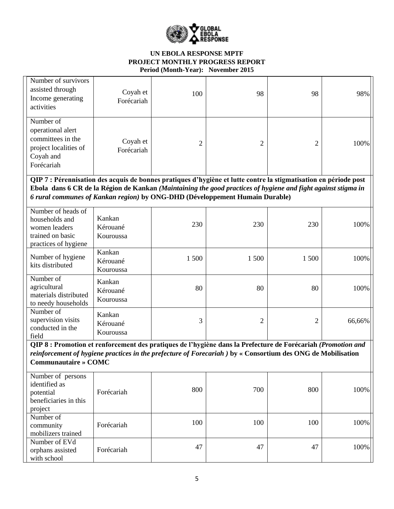

| Number of survivors<br>assisted through<br>Income generating<br>activities                                                                                                                                                                                  | Coyah et<br>Forécariah          | 100  | 98             | 98             | 98%    |
|-------------------------------------------------------------------------------------------------------------------------------------------------------------------------------------------------------------------------------------------------------------|---------------------------------|------|----------------|----------------|--------|
| Number of<br>operational alert<br>committees in the<br>project localities of<br>Coyah and<br>Forécariah                                                                                                                                                     | Coyah et<br>Forécariah          | 2    | 2              | $\overline{2}$ | 100%   |
| QIP 7 : Pérennisation des acquis de bonnes pratiques d'hygiène et lutte contre la stigmatisation en période post<br>Ebola dans 6 CR de la Région de Kankan (Maintaining the good practices of hygiene and fight against stigma in                           |                                 |      |                |                |        |
| 6 rural communes of Kankan region) by ONG-DHD (Développement Humain Durable)                                                                                                                                                                                |                                 |      |                |                |        |
| Number of heads of<br>households and<br>women leaders<br>trained on basic<br>practices of hygiene                                                                                                                                                           | Kankan<br>Kérouané<br>Kouroussa | 230  | 230            | 230            | 100%   |
| Number of hygiene<br>kits distributed                                                                                                                                                                                                                       | Kankan<br>Kérouané<br>Kouroussa | 1500 | 1 500          | 1 500          | 100%   |
| Number of<br>agricultural<br>materials distributed<br>to needy households                                                                                                                                                                                   | Kankan<br>Kérouané<br>Kouroussa | 80   | 80             | 80             | 100%   |
| Number of<br>supervision visits<br>conducted in the<br>field                                                                                                                                                                                                | Kankan<br>Kérouané<br>Kouroussa | 3    | $\overline{2}$ | $\overline{2}$ | 66,66% |
| QIP 8 : Promotion et renforcement des pratiques de l'hygiène dans la Prefecture de Forécariah (Promotion and<br>reinforcement of hygiene practices in the prefecture of Forecariah ) by « Consortium des ONG de Mobilisation<br><b>Communautaire » COMC</b> |                                 |      |                |                |        |
| Number of persons<br>identified as<br>potential<br>beneficiaries in this<br>project                                                                                                                                                                         | Forécariah                      | 800  | 700            | 800            | 100%   |
| Number of<br>community<br>mobilizers trained                                                                                                                                                                                                                | Forécariah                      | 100  | 100            | 100            | 100%   |
| Number of EVd<br>orphans assisted<br>with school                                                                                                                                                                                                            | Forécariah                      | 47   | 47             | 47             | 100%   |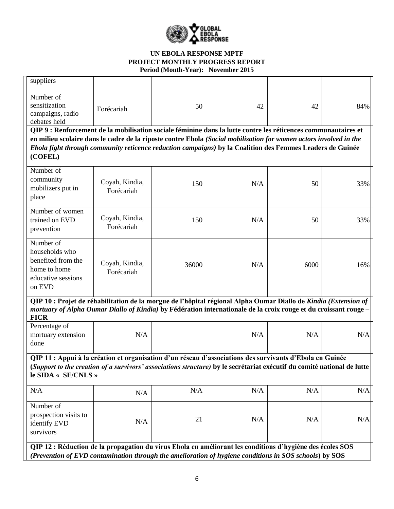

| suppliers                                                                                                                                                                                                                                                  |                                                                                                                   |       |     |      |     |  |  |
|------------------------------------------------------------------------------------------------------------------------------------------------------------------------------------------------------------------------------------------------------------|-------------------------------------------------------------------------------------------------------------------|-------|-----|------|-----|--|--|
| Number of<br>sensitization<br>campaigns, radio<br>debates held                                                                                                                                                                                             | Forécariah                                                                                                        | 50    | 42  | 42   | 84% |  |  |
| QIP 9 : Renforcement de la mobilisation sociale féminine dans la lutte contre les réticences communautaires et                                                                                                                                             |                                                                                                                   |       |     |      |     |  |  |
|                                                                                                                                                                                                                                                            | en milieu scolaire dans le cadre de la riposte contre Ebola (Social mobilisation for women actors involved in the |       |     |      |     |  |  |
| (COFEL)                                                                                                                                                                                                                                                    | Ebola fight through community reticence reduction campaigns) by la Coalition des Femmes Leaders de Guinée         |       |     |      |     |  |  |
| Number of<br>community<br>mobilizers put in<br>place                                                                                                                                                                                                       | Coyah, Kindia,<br>Forécariah                                                                                      | 150   | N/A | 50   | 33% |  |  |
| Number of women<br>trained on EVD<br>prevention                                                                                                                                                                                                            | Coyah, Kindia,<br>Forécariah                                                                                      | 150   | N/A | 50   | 33% |  |  |
| Number of<br>households who<br>benefited from the<br>home to home<br>educative sessions<br>on EVD                                                                                                                                                          | Coyah, Kindia,<br>Forécariah                                                                                      | 36000 | N/A | 6000 | 16% |  |  |
| QIP 10 : Projet de réhabilitation de la morgue de l'hôpital régional Alpha Oumar Diallo de Kindia (Extension of<br>mortuary of Alpha Oumar Diallo of Kindia) by Fédération internationale de la croix rouge et du croissant rouge-<br><b>FICR</b>          |                                                                                                                   |       |     |      |     |  |  |
| Percentage of<br>mortuary extension<br>done                                                                                                                                                                                                                | N/A                                                                                                               |       | N/A | N/A  | N/A |  |  |
| QIP 11 : Appui à la création et organisation d'un réseau d'associations des survivants d'Ebola en Guinée<br>(Support to the creation of a survivors' associations structure) by le secrétariat exécutif du comité national de lutte<br>le SIDA « SE/CNLS » |                                                                                                                   |       |     |      |     |  |  |
| N/A                                                                                                                                                                                                                                                        | N/A                                                                                                               | N/A   | N/A | N/A  | N/A |  |  |
| Number of<br>prospection visits to<br>identify EVD<br>survivors                                                                                                                                                                                            | N/A                                                                                                               | 21    | N/A | N/A  | N/A |  |  |
| QIP 12 : Réduction de la propagation du virus Ebola en améliorant les conditions d'hygiène des écoles SOS<br>(Prevention of EVD contamination through the amelioration of hygiene conditions in SOS schools) by SOS                                        |                                                                                                                   |       |     |      |     |  |  |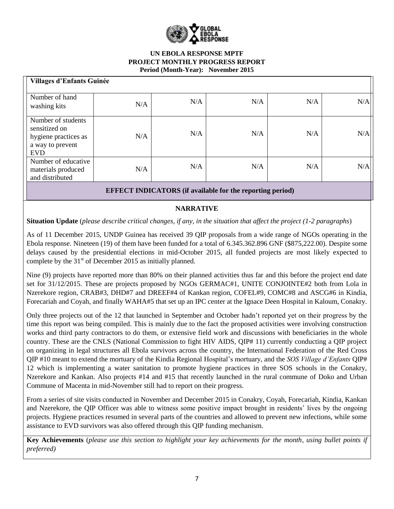

| <b>Villages d'Enfants Guinée</b>                                                              |     |     |     |     |     |
|-----------------------------------------------------------------------------------------------|-----|-----|-----|-----|-----|
| Number of hand<br>washing kits                                                                | N/A | N/A | N/A | N/A | N/A |
| Number of students<br>sensitized on<br>hygiene practices as<br>a way to prevent<br><b>EVD</b> | N/A | N/A | N/A | N/A | N/A |
| Number of educative<br>materials produced<br>and distributed                                  | N/A | N/A | N/A | N/A | N/A |
| <b>EFFECT INDICATORS</b> (if available for the reporting period)                              |     |     |     |     |     |

# **NARRATIVE**

**Situation Update** (*please describe critical changes, if any, in the situation that affect the project (1-2 paragraphs*)

As of 11 December 2015, UNDP Guinea has received 39 QIP proposals from a wide range of NGOs operating in the Ebola response. Nineteen (19) of them have been funded for a total of 6.345.362.896 GNF (\$875,222.00). Despite some delays caused by the presidential elections in mid-October 2015, all funded projects are most likely expected to complete by the  $31<sup>st</sup>$  of December 2015 as initially planned.

Nine (9) projects have reported more than 80% on their planned activities thus far and this before the project end date set for 31/12/2015. These are projects proposed by NGOs GERMAC#1, UNITE CONJOINTE#2 both from Lola in Nzerekore region, CRAB#3, DHD#7 and DREEF#4 of Kankan region, COFEL#9, COMC#8 and ASCG#6 in Kindia, Forecariah and Coyah, and finally WAHA#5 that set up an IPC center at the Ignace Deen Hospital in Kaloum, Conakry.

Only three projects out of the 12 that launched in September and October hadn't reported yet on their progress by the time this report was being compiled. This is mainly due to the fact the proposed activities were involving construction works and third party contractors to do them, or extensive field work and discussions with beneficiaries in the whole country. These are the CNLS (National Commission to fight HIV AIDS, QIP# 11) currently conducting a QIP project on organizing in legal structures all Ebola survivors across the country, the International Federation of the Red Cross QIP #10 meant to extend the mortuary of the Kindia Regional Hospital's mortuary, and the *SOS Village d'Enfants* QIP# 12 which is implementing a water sanitation to promote hygiene practices in three SOS schools in the Conakry, Nzerekore and Kankan. Also projects #14 and #15 that recently launched in the rural commune of Doko and Urban Commune of Macenta in mid-November still had to report on their progress.

From a series of site visits conducted in November and December 2015 in Conakry, Coyah, Forecariah, Kindia, Kankan and Nzerekore, the QIP Officer was able to witness some positive impact brought in residents' lives by the ongoing projects. Hygiene practices resumed in several parts of the countries and allowed to prevent new infections, while some assistance to EVD survivors was also offered through this QIP funding mechanism.

**Key Achievements** (*please use this section to highlight your key achievements for the month, using bullet points if preferred)*